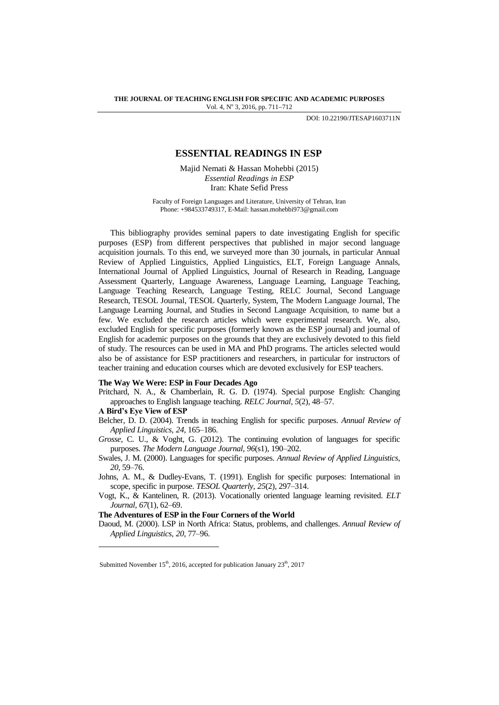DOI: 10.22190/JTESAP1603711N

# **ESSENTIAL READINGS IN ESP**

Majid Nemati & Hassan Mohebbi (2015) *Essential Readings in ESP* Iran: Khate Sefid Press

Faculty of Foreign Languages and Literature, University of Tehran, Iran Phone: +984533749317, E-Mail[: hassan.mohebbi973@gmail.com](mailto:hassan.mohebbi973@gmail.com)

This bibliography provides seminal papers to date investigating English for specific purposes (ESP) from different perspectives that published in major second language acquisition journals. To this end, we surveyed more than 30 journals, in particular Annual Review of Applied Linguistics, Applied Linguistics, ELT, Foreign Language Annals, International Journal of Applied Linguistics, Journal of Research in Reading, Language Assessment Quarterly, Language Awareness, Language Learning, Language Teaching, Language Teaching Research, Language Testing, RELC Journal, Second Language Research, TESOL Journal, TESOL Quarterly, System, The Modern Language Journal, The Language Learning Journal, and Studies in Second Language Acquisition, to name but a few. We excluded the research articles which were experimental research. We, also, excluded English for specific purposes (formerly known as the ESP journal) and journal of English for academic purposes on the grounds that they are exclusively devoted to this field of study. The resources can be used in MA and PhD programs. The articles selected would also be of assistance for ESP practitioners and researchers, in particular for instructors of teacher training and education courses which are devoted exclusively for ESP teachers.

### **The Way We Were: ESP in Four Decades Ago**

Pritchard, N. A., & Chamberlain, R. G. D. (1974). Special purpose English: Changing approaches to English language teaching. *RELC Journal, 5*(2)*,* 48–57.

### **A Bird's Eye View of ESP**

l

- Belcher, D. D. (2004). Trends in teaching English for specific purposes. *Annual Review of Applied Linguistics, 24,* 165–186.
- *Grosse,* C. U., & Voght, G. (2012). The continuing evolution of languages for specific purposes. *The Modern Language Journal, 96*(s1), 190–202.
- Swales, J. M. (2000). Languages for specific purposes. *Annual Review of Applied Linguistics, 20,* 59–76.
- Johns, A. M., & Dudley-Evans, T. (1991). English for specific purposes: International in scope, specific in purpose. *TESOL Quarterly, 25*(2)*,* 297–314.
- Vogt, K., & Kantelinen, R. (2013). Vocationally oriented language learning revisited. *ELT Journal, 67*(1)*,* 62–69.

**The Adventures of ESP in the Four Corners of the World**

Daoud, M. (2000). LSP in North Africa: Status, problems, and challenges. *Annual Review of Applied Linguistics, 20,* 77–96.

Submitted November  $15<sup>th</sup>$ , 2016, accepted for publication January  $23<sup>th</sup>$ , 2017